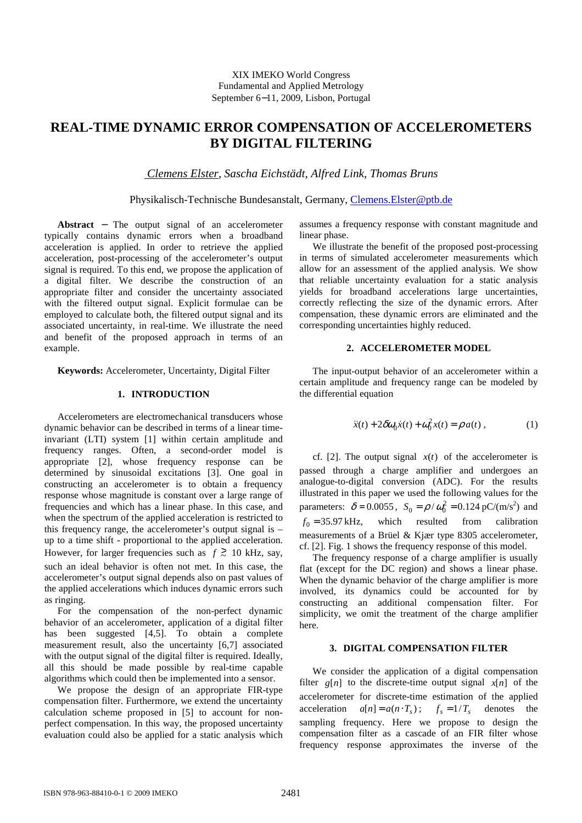# **REAL-TIME DYNAMIC ERROR COMPENSATION OF ACCELEROMETERS BY DIGITAL FILTERING**

 *Clemens Elster, Sascha Eichstädt, Alfred Link, Thomas Bruns* 

Physikalisch-Technische Bundesanstalt, Germany, Clemens.Elster@ptb.de

**Abstract** − The output signal of an accelerometer typically contains dynamic errors when a broadband acceleration is applied. In order to retrieve the applied acceleration, post-processing of the accelerometer's output signal is required. To this end, we propose the application of a digital filter. We describe the construction of an appropriate filter and consider the uncertainty associated with the filtered output signal. Explicit formulae can be employed to calculate both, the filtered output signal and its associated uncertainty, in real-time. We illustrate the need and benefit of the proposed approach in terms of an example.

**Keywords:** Accelerometer, Uncertainty, Digital Filter

## **1. INTRODUCTION**

Accelerometers are electromechanical transducers whose dynamic behavior can be described in terms of a linear timeinvariant (LTI) system [1] within certain amplitude and frequency ranges. Often, a second-order model is appropriate [2], whose frequency response can be determined by sinusoidal excitations [3]. One goal in constructing an accelerometer is to obtain a frequency response whose magnitude is constant over a large range of frequencies and which has a linear phase. In this case, and when the spectrum of the applied acceleration is restricted to this frequency range, the accelerometer's output signal is – up to a time shift - proportional to the applied acceleration. However, for larger frequencies such as  $f \ge 10$  kHz, say, such an ideal behavior is often not met. In this case, the accelerometer's output signal depends also on past values of the applied accelerations which induces dynamic errors such as ringing.

For the compensation of the non-perfect dynamic behavior of an accelerometer, application of a digital filter has been suggested [4,5]. To obtain a complete measurement result, also the uncertainty [6,7] associated with the output signal of the digital filter is required. Ideally, all this should be made possible by real-time capable algorithms which could then be implemented into a sensor.

We propose the design of an appropriate FIR-type compensation filter. Furthermore, we extend the uncertainty calculation scheme proposed in [5] to account for nonperfect compensation. In this way, the proposed uncertainty evaluation could also be applied for a static analysis which assumes a frequency response with constant magnitude and linear phase.

We illustrate the benefit of the proposed post-processing in terms of simulated accelerometer measurements which allow for an assessment of the applied analysis. We show that reliable uncertainty evaluation for a static analysis yields for broadband accelerations large uncertainties, correctly reflecting the size of the dynamic errors. After compensation, these dynamic errors are eliminated and the corresponding uncertainties highly reduced.

# **2. ACCELEROMETER MODEL**

The input-output behavior of an accelerometer within a certain amplitude and frequency range can be modeled by the differential equation

$$
\ddot{x}(t) + 2\delta\omega_0 \dot{x}(t) + \omega_0^2 x(t) = \rho a(t) , \qquad (1)
$$

cf. [2]. The output signal  $x(t)$  of the accelerometer is passed through a charge amplifier and undergoes an analogue-to-digital conversion (ADC). For the results illustrated in this paper we used the following values for the parameters:  $\delta = 0.0055$ ,  $S_0 = \rho / \omega_0^2 = 0.124 \text{ pC/(m/s}^2)$  and  $f_0 = 35.97 \text{ kHz}$ , which resulted from calibration measurements of a Brüel & Kjær type 8305 accelerometer, cf. [2]. Fig. 1 shows the frequency response of this model.

The frequency response of a charge amplifier is usually flat (except for the DC region) and shows a linear phase. When the dynamic behavior of the charge amplifier is more involved, its dynamics could be accounted for by constructing an additional compensation filter. For simplicity, we omit the treatment of the charge amplifier here.

## **3. DIGITAL COMPENSATION FILTER**

We consider the application of a digital compensation filter  $g[n]$  to the discrete-time output signal  $x[n]$  of the accelerometer for discrete-time estimation of the applied acceleration  $a[n] = a(n \cdot T_s);$   $f_s = 1/T_s$  denotes the sampling frequency. Here we propose to design the compensation filter as a cascade of an FIR filter whose frequency response approximates the inverse of the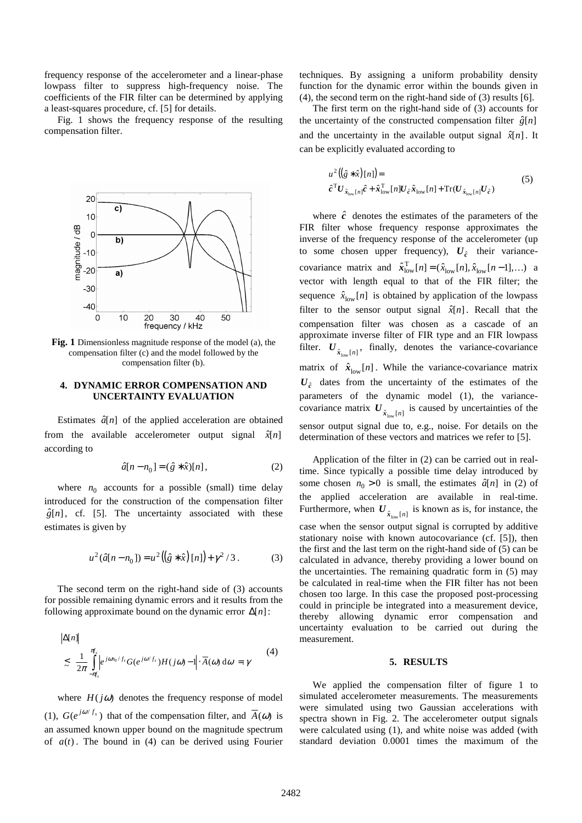frequency response of the accelerometer and a linear-phase lowpass filter to suppress high-frequency noise. The coefficients of the FIR filter can be determined by applying a least-squares procedure, cf. [5] for details.

Fig. 1 shows the frequency response of the resulting compensation filter.



**Fig. 1** Dimensionless magnitude response of the model (a), the compensation filter (c) and the model followed by the compensation filter (b).

# **4. DYNAMIC ERROR COMPENSATION AND UNCERTAINTY EVALUATION**

Estimates  $\hat{a}[n]$  of the applied acceleration are obtained from the available accelerometer output signal  $\hat{x}[n]$ according to

$$
\hat{a}[n - n_0] = (\hat{g} * \hat{x})[n],
$$
 (2)

where  $n_0$  accounts for a possible (small) time delay introduced for the construction of the compensation filter  $\hat{g}[n]$ , cf. [5]. The uncertainty associated with these estimates is given by

$$
u^{2}(\hat{a}[n-n_{0}]) = u^{2}((\hat{g} * \hat{x})[n]) + \gamma^{2}/3.
$$
 (3)

The second term on the right-hand side of (3) accounts for possible remaining dynamic errors and it results from the following approximate bound on the dynamic error ∆[*n*]:

$$
|\Delta[n]|
$$
  
\n
$$
\leq \frac{1}{2\pi} \int_{-\pi_s}^{\pi_s} \left| e^{j\omega n_0/f_s} G(e^{j\omega/f_s}) H(j\omega) - 1 \right| \cdot \overline{A}(\omega) d\omega = \gamma
$$
 (4)

where  $H(j\omega)$  denotes the frequency response of model (1),  $G(e^{j\omega/f_s})$  that of the compensation filter, and  $\overline{A}(\omega)$  is an assumed known upper bound on the magnitude spectrum of  $a(t)$ . The bound in (4) can be derived using Fourier

techniques. By assigning a uniform probability density function for the dynamic error within the bounds given in (4), the second term on the right-hand side of (3) results [6].

The first term on the right-hand side of (3) accounts for the uncertainty of the constructed compensation filter  $\hat{g}[n]$ and the uncertainty in the available output signal  $\hat{x}[n]$ . It can be explicitly evaluated according to

$$
u^{2}((\hat{g} * \hat{x})[n]) =
$$
  
\n
$$
\hat{c}^{T}U_{\hat{x}_{low}[n]} \hat{c} + \hat{x}_{low}^{T}[n]U_{\hat{c}} \hat{x}_{low}[n] + \text{Tr}(U_{\hat{x}_{low}[n]}U_{\hat{c}})
$$
\n(5)

where  $\hat{c}$  denotes the estimates of the parameters of the FIR filter whose frequency response approximates the inverse of the frequency response of the accelerometer (up to some chosen upper frequency),  $U_{\hat{c}}$  their variancecovariance matrix and  $\hat{\boldsymbol{x}}_{\text{low}}^{\text{T}}[n] = (\hat{x}_{\text{low}}[n], \hat{x}_{\text{low}}[n-1], \dots)$  a vector with length equal to that of the FIR filter; the sequence  $\hat{x}_{\text{low}}[n]$  is obtained by application of the lowpass filter to the sensor output signal  $\hat{x}[n]$ . Recall that the compensation filter was chosen as a cascade of an approximate inverse filter of FIR type and an FIR lowpass filter.  $U_{\hat{x}_{low}[n]}$ , finally, denotes the variance-covariance matrix of  $\hat{x}_{low}[n]$ . While the variance-covariance matrix  $U_{\hat{c}}$  dates from the uncertainty of the estimates of the parameters of the dynamic model (1), the variancecovariance matrix  $U_{\hat{x}_{low}[n]}$  is caused by uncertainties of the sensor output signal due to, e.g., noise. For details on the determination of these vectors and matrices we refer to [5].

Application of the filter in (2) can be carried out in realtime. Since typically a possible time delay introduced by some chosen  $n_0 > 0$  is small, the estimates  $\hat{a}[n]$  in (2) of the applied acceleration are available in real-time. Furthermore, when  $U_{\hat{x}_{low}[n]}$  is known as is, for instance, the case when the sensor output signal is corrupted by additive stationary noise with known autocovariance (cf. [5]), then the first and the last term on the right-hand side of (5) can be calculated in advance, thereby providing a lower bound on the uncertainties. The remaining quadratic form in (5) may be calculated in real-time when the FIR filter has not been chosen too large. In this case the proposed post-processing could in principle be integrated into a measurement device, thereby allowing dynamic error compensation and uncertainty evaluation to be carried out during the measurement.

# **5. RESULTS**

We applied the compensation filter of figure 1 to simulated accelerometer measurements. The measurements were simulated using two Gaussian accelerations with spectra shown in Fig. 2. The accelerometer output signals were calculated using (1), and white noise was added (with standard deviation 0.0001 times the maximum of the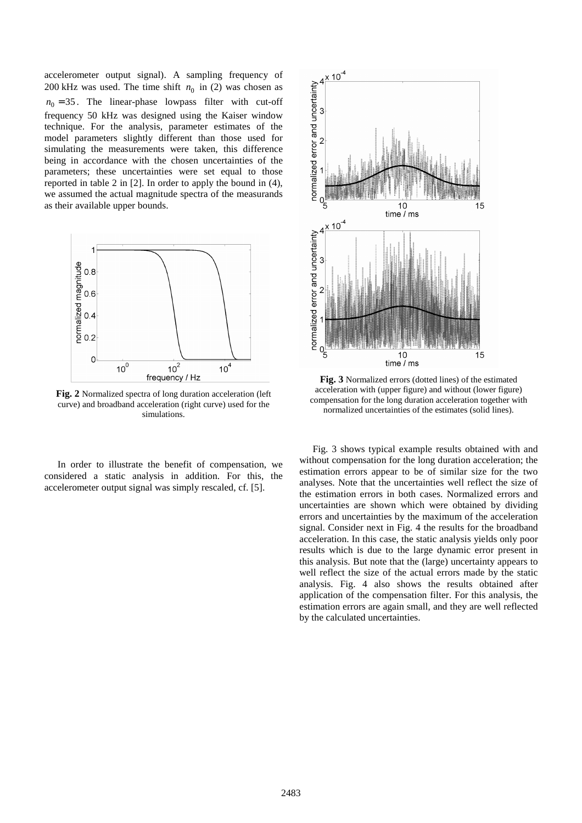accelerometer output signal). A sampling frequency of 200 kHz was used. The time shift  $n_0$  in (2) was chosen as  $n_0 = 35$ . The linear-phase lowpass filter with cut-off frequency 50 kHz was designed using the Kaiser window technique. For the analysis, parameter estimates of the model parameters slightly different than those used for simulating the measurements were taken, this difference being in accordance with the chosen uncertainties of the parameters; these uncertainties were set equal to those reported in table 2 in [2]. In order to apply the bound in (4), we assumed the actual magnitude spectra of the measurands as their available upper bounds.



**Fig. 2** Normalized spectra of long duration acceleration (left curve) and broadband acceleration (right curve) used for the simulations.

In order to illustrate the benefit of compensation, we considered a static analysis in addition. For this, the accelerometer output signal was simply rescaled, cf. [5].



**Fig. 3** Normalized errors (dotted lines) of the estimated acceleration with (upper figure) and without (lower figure) compensation for the long duration acceleration together with normalized uncertainties of the estimates (solid lines).

Fig. 3 shows typical example results obtained with and without compensation for the long duration acceleration; the estimation errors appear to be of similar size for the two analyses. Note that the uncertainties well reflect the size of the estimation errors in both cases. Normalized errors and uncertainties are shown which were obtained by dividing errors and uncertainties by the maximum of the acceleration signal. Consider next in Fig. 4 the results for the broadband acceleration. In this case, the static analysis yields only poor results which is due to the large dynamic error present in this analysis. But note that the (large) uncertainty appears to well reflect the size of the actual errors made by the static analysis. Fig. 4 also shows the results obtained after application of the compensation filter. For this analysis, the estimation errors are again small, and they are well reflected by the calculated uncertainties.